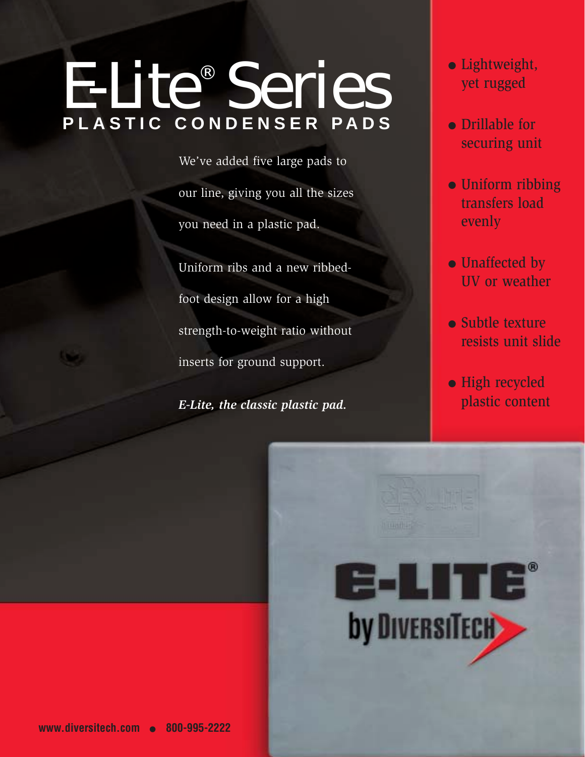## E-Lite® Series **PLASTIC CONDENSER PADS**

We've added five large pads to

our line, giving you all the sizes you need in a plastic pad.

Uniform ribs and a new ribbedfoot design allow for a high strength-to-weight ratio without inserts for ground support.

*E-Lite, the classic plastic pad.* 

- Lightweight, yet rugged
- Drillable for securing unit
- Uniform ribbing transfers load evenly
- Unaffected by UV or weather
- Subtle texture resists unit slide
- High recycled plastic content